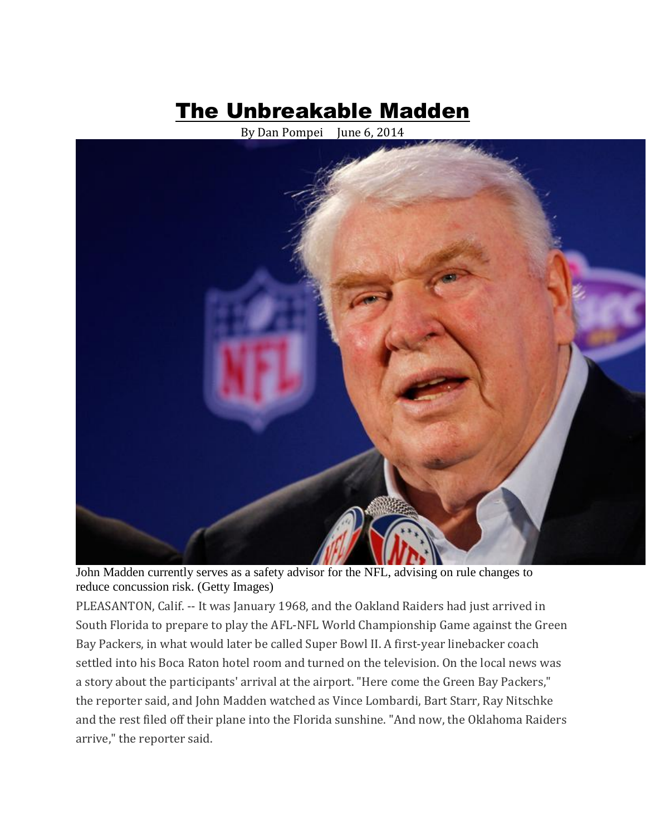# The Unbreakable Madden

By Dan Pompei June 6, 2014



John Madden currently serves as a safety advisor for the NFL, advising on rule changes to reduce concussion risk. (Getty Images)

PLEASANTON, Calif. -- It was January 1968, and the Oakland Raiders had just arrived in South Florida to prepare to play the AFL-NFL World Championship Game against the Green Bay Packers, in what would later be called Super Bowl II. A first-year linebacker coach settled into his Boca Raton hotel room and turned on the television. On the local news was a story about the participants' arrival at the airport. "Here come the Green Bay Packers," the reporter said, and John Madden watched as Vince Lombardi, Bart Starr, Ray Nitschke and the rest filed off their plane into the Florida sunshine. "And now, the Oklahoma Raiders arrive," the reporter said.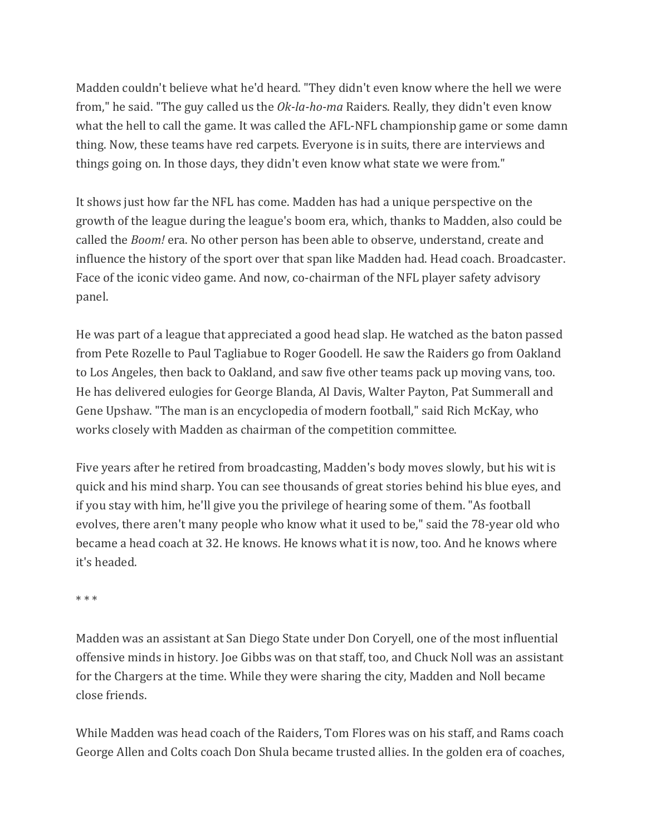Madden couldn't believe what he'd heard. "They didn't even know where the hell we were from," he said. "The guy called us the *Ok-la-ho-ma* Raiders. Really, they didn't even know what the hell to call the game. It was called the AFL-NFL championship game or some damn thing. Now, these teams have red carpets. Everyone is in suits, there are interviews and things going on. In those days, they didn't even know what state we were from."

It shows just how far the NFL has come. Madden has had a unique perspective on the growth of the league during the league's boom era, which, thanks to Madden, also could be called the *Boom!* era. No other person has been able to observe, understand, create and influence the history of the sport over that span like Madden had. Head coach. Broadcaster. Face of the iconic video game. And now, co-chairman of the NFL player safety advisory panel.

He was part of a league that appreciated a good head slap. He watched as the baton passed from Pete Rozelle to Paul Tagliabue to Roger Goodell. He saw the Raiders go from Oakland to Los Angeles, then back to Oakland, and saw five other teams pack up moving vans, too. He has delivered eulogies for George Blanda, Al Davis, Walter Payton, Pat Summerall and Gene Upshaw. "The man is an encyclopedia of modern football," said Rich McKay, who works closely with Madden as chairman of the competition committee.

Five years after he retired from broadcasting, Madden's body moves slowly, but his wit is quick and his mind sharp. You can see thousands of great stories behind his blue eyes, and if you stay with him, he'll give you the privilege of hearing some of them. "As football evolves, there aren't many people who know what it used to be," said the 78-year old who became a head coach at 32. He knows. He knows what it is now, too. And he knows where it's headed.

\* \* \*

Madden was an assistant at San Diego State under Don Coryell, one of the most influential offensive minds in history. Joe Gibbs was on that staff, too, and Chuck Noll was an assistant for the Chargers at the time. While they were sharing the city, Madden and Noll became close friends.

While Madden was head coach of the Raiders, Tom Flores was on his staff, and Rams coach George Allen and Colts coach Don Shula became trusted allies. In the golden era of coaches,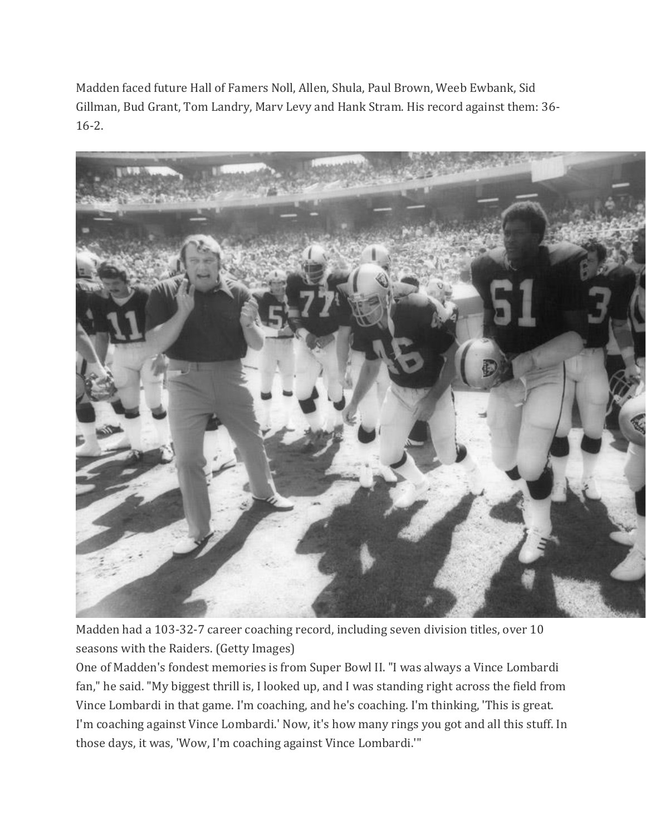Madden faced future Hall of Famers Noll, Allen, Shula, Paul Brown, Weeb Ewbank, Sid Gillman, Bud Grant, Tom Landry, Marv Levy and Hank Stram. His record against them: 36- 16-2.



Madden had a 103-32-7 career coaching record, including seven division titles, over 10 seasons with the Raiders. (Getty Images)

One of Madden's fondest memories is from Super Bowl II. "I was always a Vince Lombardi fan," he said. "My biggest thrill is, I looked up, and I was standing right across the field from Vince Lombardi in that game. I'm coaching, and he's coaching. I'm thinking, 'This is great. I'm coaching against Vince Lombardi.' Now, it's how many rings you got and all this stuff. In those days, it was, 'Wow, I'm coaching against Vince Lombardi.'"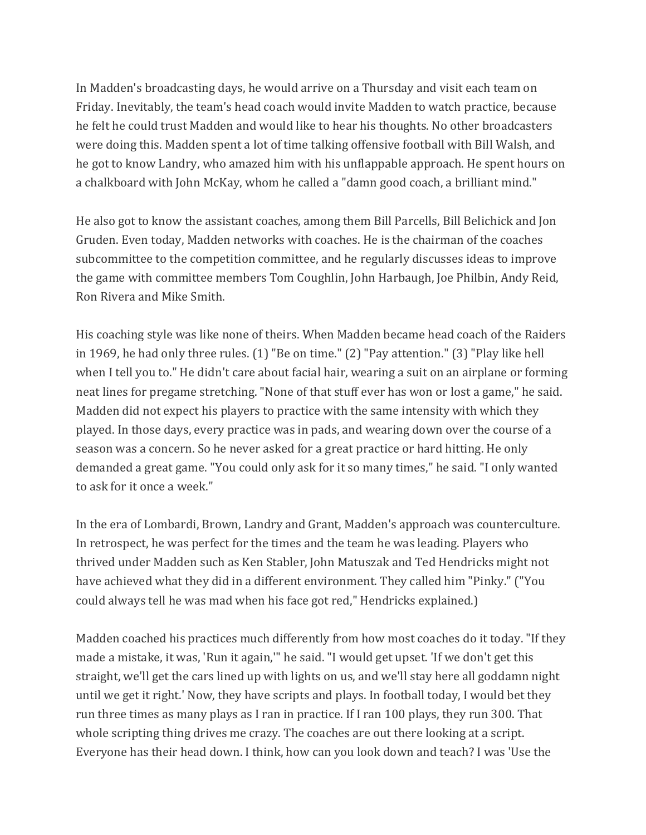In Madden's broadcasting days, he would arrive on a Thursday and visit each team on Friday. Inevitably, the team's head coach would invite Madden to watch practice, because he felt he could trust Madden and would like to hear his thoughts. No other broadcasters were doing this. Madden spent a lot of time talking offensive football with Bill Walsh, and he got to know Landry, who amazed him with his unflappable approach. He spent hours on a chalkboard with John McKay, whom he called a "damn good coach, a brilliant mind."

He also got to know the assistant coaches, among them Bill Parcells, Bill Belichick and Jon Gruden. Even today, Madden networks with coaches. He is the chairman of the coaches subcommittee to the competition committee, and he regularly discusses ideas to improve the game with committee members Tom Coughlin, John Harbaugh, Joe Philbin, Andy Reid, Ron Rivera and Mike Smith.

His coaching style was like none of theirs. When Madden became head coach of the Raiders in 1969, he had only three rules. (1) "Be on time." (2) "Pay attention." (3) "Play like hell when I tell you to." He didn't care about facial hair, wearing a suit on an airplane or forming neat lines for pregame stretching. "None of that stuff ever has won or lost a game," he said. Madden did not expect his players to practice with the same intensity with which they played. In those days, every practice was in pads, and wearing down over the course of a season was a concern. So he never asked for a great practice or hard hitting. He only demanded a great game. "You could only ask for it so many times," he said. "I only wanted to ask for it once a week."

In the era of Lombardi, Brown, Landry and Grant, Madden's approach was counterculture. In retrospect, he was perfect for the times and the team he was leading. Players who thrived under Madden such as Ken Stabler, John Matuszak and Ted Hendricks might not have achieved what they did in a different environment. They called him "Pinky." ("You could always tell he was mad when his face got red," Hendricks explained.)

Madden coached his practices much differently from how most coaches do it today. "If they made a mistake, it was, 'Run it again,'" he said. "I would get upset. 'If we don't get this straight, we'll get the cars lined up with lights on us, and we'll stay here all goddamn night until we get it right.' Now, they have scripts and plays. In football today, I would bet they run three times as many plays as I ran in practice. If I ran 100 plays, they run 300. That whole scripting thing drives me crazy. The coaches are out there looking at a script. Everyone has their head down. I think, how can you look down and teach? I was 'Use the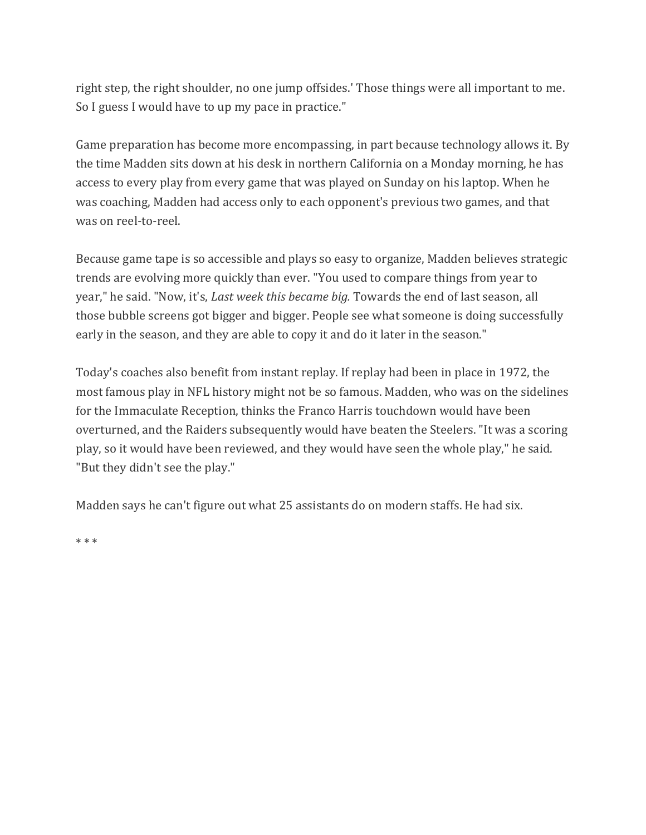right step, the right shoulder, no one jump offsides.' Those things were all important to me. So I guess I would have to up my pace in practice."

Game preparation has become more encompassing, in part because technology allows it. By the time Madden sits down at his desk in northern California on a Monday morning, he has access to every play from every game that was played on Sunday on his laptop. When he was coaching, Madden had access only to each opponent's previous two games, and that was on reel-to-reel.

Because game tape is so accessible and plays so easy to organize, Madden believes strategic trends are evolving more quickly than ever. "You used to compare things from year to year," he said. "Now, it's, *Last week this became big.* Towards the end of last season, all those bubble screens got bigger and bigger. People see what someone is doing successfully early in the season, and they are able to copy it and do it later in the season."

Today's coaches also benefit from instant replay. If replay had been in place in 1972, the most famous play in NFL history might not be so famous. Madden, who was on the sidelines for the Immaculate Reception, thinks the Franco Harris touchdown would have been overturned, and the Raiders subsequently would have beaten the Steelers. "It was a scoring play, so it would have been reviewed, and they would have seen the whole play," he said. "But they didn't see the play."

Madden says he can't figure out what 25 assistants do on modern staffs. He had six.

\* \* \*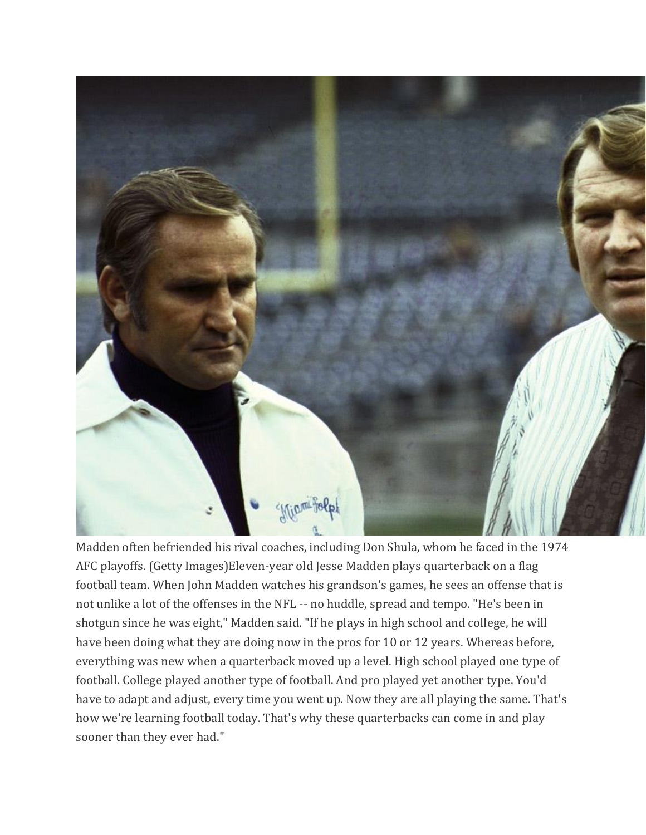

Madden often befriended his rival coaches, including Don Shula, whom he faced in the 1974 AFC playoffs. (Getty Images)Eleven-year old Jesse Madden plays quarterback on a flag football team. When John Madden watches his grandson's games, he sees an offense that is not unlike a lot of the offenses in the NFL -- no huddle, spread and tempo. "He's been in shotgun since he was eight," Madden said. "If he plays in high school and college, he will have been doing what they are doing now in the pros for 10 or 12 years. Whereas before, everything was new when a quarterback moved up a level. High school played one type of football. College played another type of football. And pro played yet another type. You'd have to adapt and adjust, every time you went up. Now they are all playing the same. That's how we're learning football today. That's why these quarterbacks can come in and play sooner than they ever had."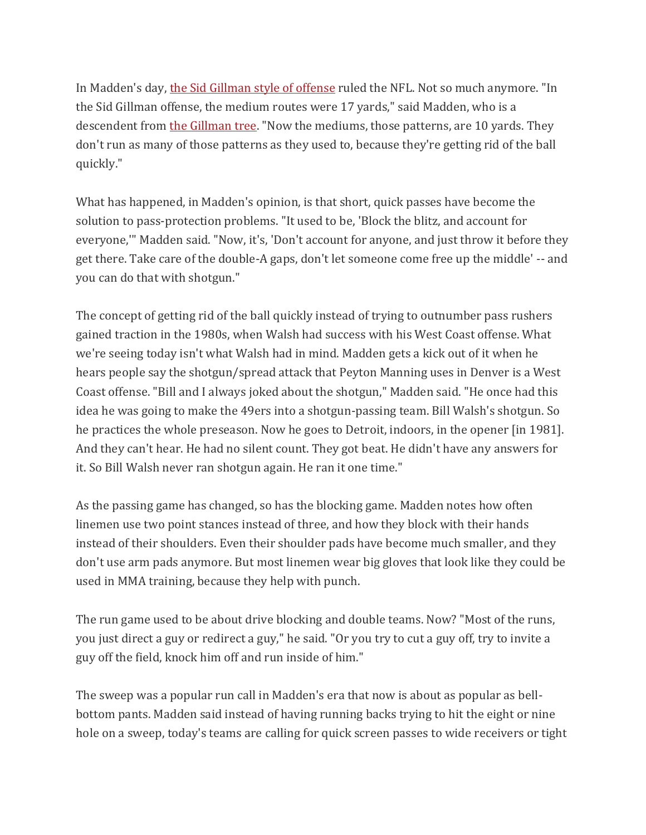In Madden's day, [the Sid Gillman style of offense](http://espn.go.com/classic/obit/s/2003/0103/1486725.html) ruled the NFL. Not so much anymore. "In the Sid Gillman offense, the medium routes were 17 yards," said Madden, who is a descendent from [the Gillman tree.](http://espn.go.com/nfl/story/_/page/coachingtreegillman130524/greatest-nfl-coaches-sid-gillman-coaching-tree) "Now the mediums, those patterns, are 10 yards. They don't run as many of those patterns as they used to, because they're getting rid of the ball quickly."

What has happened, in Madden's opinion, is that short, quick passes have become the solution to pass-protection problems. "It used to be, 'Block the blitz, and account for everyone,'" Madden said. "Now, it's, 'Don't account for anyone, and just throw it before they get there. Take care of the double-A gaps, don't let someone come free up the middle' -- and you can do that with shotgun."

The concept of getting rid of the ball quickly instead of trying to outnumber pass rushers gained traction in the 1980s, when Walsh had success with his West Coast offense. What we're seeing today isn't what Walsh had in mind. Madden gets a kick out of it when he hears people say the shotgun/spread attack that Peyton Manning uses in Denver is a West Coast offense. "Bill and I always joked about the shotgun," Madden said. "He once had this idea he was going to make the 49ers into a shotgun-passing team. Bill Walsh's shotgun. So he practices the whole preseason. Now he goes to Detroit, indoors, in the opener [in 1981]. And they can't hear. He had no silent count. They got beat. He didn't have any answers for it. So Bill Walsh never ran shotgun again. He ran it one time."

As the passing game has changed, so has the blocking game. Madden notes how often linemen use two point stances instead of three, and how they block with their hands instead of their shoulders. Even their shoulder pads have become much smaller, and they don't use arm pads anymore. But most linemen wear big gloves that look like they could be used in MMA training, because they help with punch.

The run game used to be about drive blocking and double teams. Now? "Most of the runs, you just direct a guy or redirect a guy," he said. "Or you try to cut a guy off, try to invite a guy off the field, knock him off and run inside of him."

The sweep was a popular run call in Madden's era that now is about as popular as bellbottom pants. Madden said instead of having running backs trying to hit the eight or nine hole on a sweep, today's teams are calling for quick screen passes to wide receivers or tight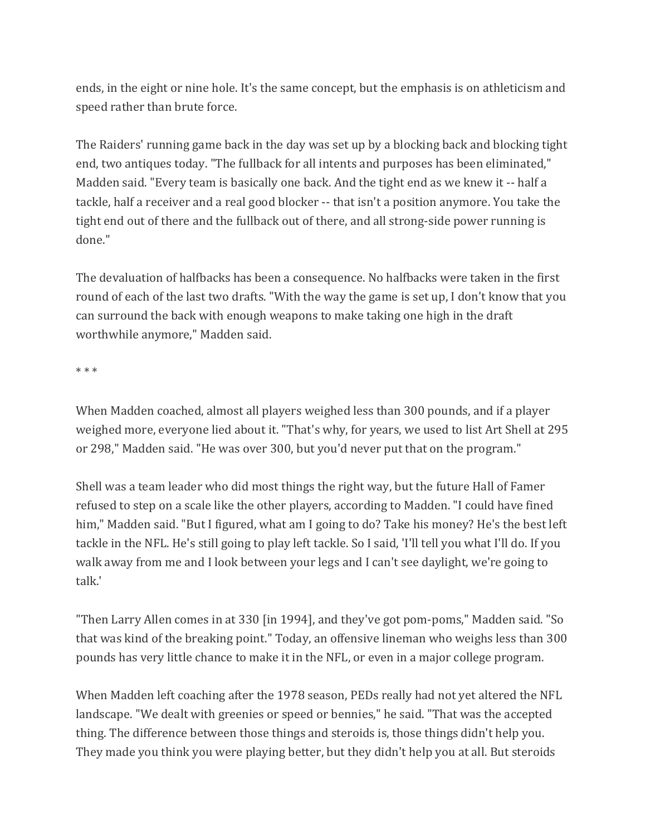ends, in the eight or nine hole. It's the same concept, but the emphasis is on athleticism and speed rather than brute force.

The Raiders' running game back in the day was set up by a blocking back and blocking tight end, two antiques today. "The fullback for all intents and purposes has been eliminated," Madden said. "Every team is basically one back. And the tight end as we knew it -- half a tackle, half a receiver and a real good blocker -- that isn't a position anymore. You take the tight end out of there and the fullback out of there, and all strong-side power running is done."

The devaluation of halfbacks has been a consequence. No halfbacks were taken in the first round of each of the last two drafts. "With the way the game is set up, I don't know that you can surround the back with enough weapons to make taking one high in the draft worthwhile anymore," Madden said.

\* \* \*

When Madden coached, almost all players weighed less than 300 pounds, and if a player weighed more, everyone lied about it. "That's why, for years, we used to list Art Shell at 295 or 298," Madden said. "He was over 300, but you'd never put that on the program."

Shell was a team leader who did most things the right way, but the future Hall of Famer refused to step on a scale like the other players, according to Madden. "I could have fined him," Madden said. "But I figured, what am I going to do? Take his money? He's the best left tackle in the NFL. He's still going to play left tackle. So I said, 'I'll tell you what I'll do. If you walk away from me and I look between your legs and I can't see daylight, we're going to talk.'

"Then Larry Allen comes in at 330 [in 1994], and they've got pom-poms," Madden said. "So that was kind of the breaking point." Today, an offensive lineman who weighs less than 300 pounds has very little chance to make it in the NFL, or even in a major college program.

When Madden left coaching after the 1978 season, PEDs really had not yet altered the NFL landscape. "We dealt with greenies or speed or bennies," he said. "That was the accepted thing. The difference between those things and steroids is, those things didn't help you. They made you think you were playing better, but they didn't help you at all. But steroids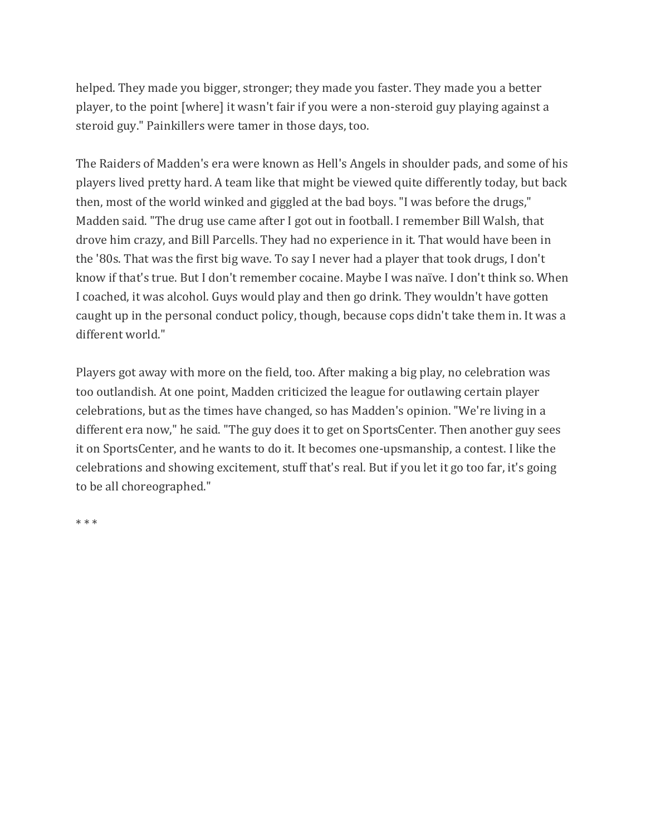helped. They made you bigger, stronger; they made you faster. They made you a better player, to the point [where] it wasn't fair if you were a non-steroid guy playing against a steroid guy." Painkillers were tamer in those days, too.

The Raiders of Madden's era were known as Hell's Angels in shoulder pads, and some of his players lived pretty hard. A team like that might be viewed quite differently today, but back then, most of the world winked and giggled at the bad boys. "I was before the drugs," Madden said. "The drug use came after I got out in football. I remember Bill Walsh, that drove him crazy, and Bill Parcells. They had no experience in it. That would have been in the '80s. That was the first big wave. To say I never had a player that took drugs, I don't know if that's true. But I don't remember cocaine. Maybe I was naïve. I don't think so. When I coached, it was alcohol. Guys would play and then go drink. They wouldn't have gotten caught up in the personal conduct policy, though, because cops didn't take them in. It was a different world."

Players got away with more on the field, too. After making a big play, no celebration was too outlandish. At one point, Madden criticized the league for outlawing certain player celebrations, but as the times have changed, so has Madden's opinion. "We're living in a different era now," he said. "The guy does it to get on SportsCenter. Then another guy sees it on SportsCenter, and he wants to do it. It becomes one-upsmanship, a contest. I like the celebrations and showing excitement, stuff that's real. But if you let it go too far, it's going to be all choreographed."

\* \* \*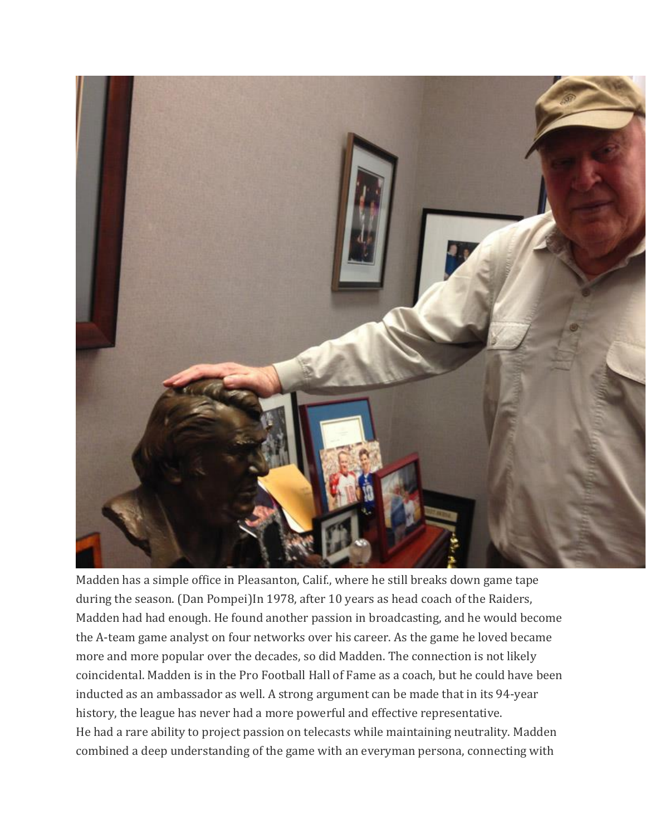

Madden has a simple office in Pleasanton, Calif., where he still breaks down game tape during the season. (Dan Pompei)In 1978, after 10 years as head coach of the Raiders, Madden had had enough. He found another passion in broadcasting, and he would become the A-team game analyst on four networks over his career. As the game he loved became more and more popular over the decades, so did Madden. The connection is not likely coincidental. Madden is in the Pro Football Hall of Fame as a coach, but he could have been inducted as an ambassador as well. A strong argument can be made that in its 94-year history, the league has never had a more powerful and effective representative. He had a rare ability to project passion on telecasts while maintaining neutrality. Madden combined a deep understanding of the game with an everyman persona, connecting with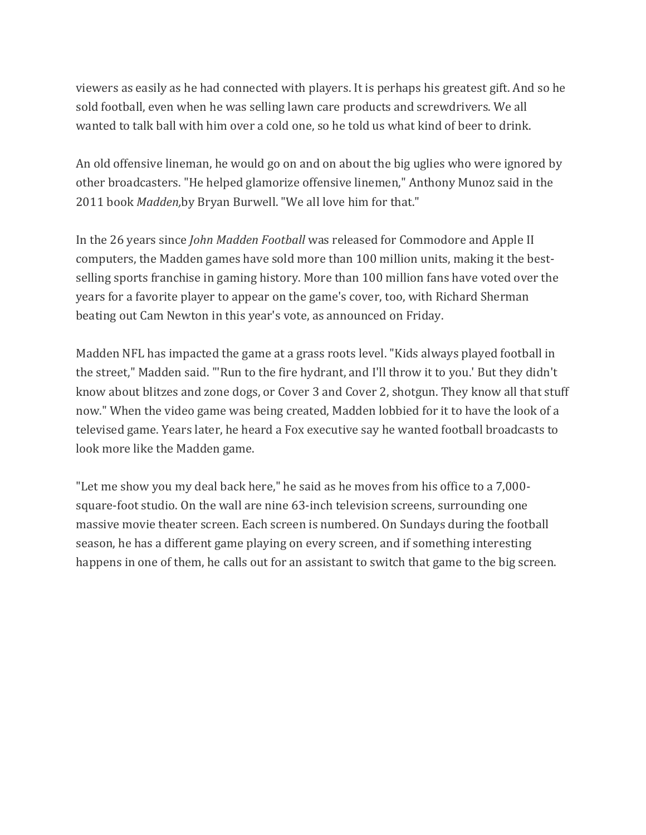viewers as easily as he had connected with players. It is perhaps his greatest gift. And so he sold football, even when he was selling lawn care products and screwdrivers. We all wanted to talk ball with him over a cold one, so he told us what kind of beer to drink.

An old offensive lineman, he would go on and on about the big uglies who were ignored by other broadcasters. "He helped glamorize offensive linemen," Anthony Munoz said in the 2011 book *Madden,*by Bryan Burwell. "We all love him for that."

In the 26 years since *John Madden Football* was released for Commodore and Apple II computers, the Madden games have sold more than 100 million units, making it the bestselling sports franchise in gaming history. More than 100 million fans have voted over the years for a favorite player to appear on the game's cover, too, with Richard Sherman beating out Cam Newton in this year's vote, as announced on Friday.

Madden NFL has impacted the game at a grass roots level. "Kids always played football in the street," Madden said. "'Run to the fire hydrant, and I'll throw it to you.' But they didn't know about blitzes and zone dogs, or Cover 3 and Cover 2, shotgun. They know all that stuff now." When the video game was being created, Madden lobbied for it to have the look of a televised game. Years later, he heard a Fox executive say he wanted football broadcasts to look more like the Madden game.

"Let me show you my deal back here," he said as he moves from his office to a 7,000 square-foot studio. On the wall are nine 63-inch television screens, surrounding one massive movie theater screen. Each screen is numbered. On Sundays during the football season, he has a different game playing on every screen, and if something interesting happens in one of them, he calls out for an assistant to switch that game to the big screen.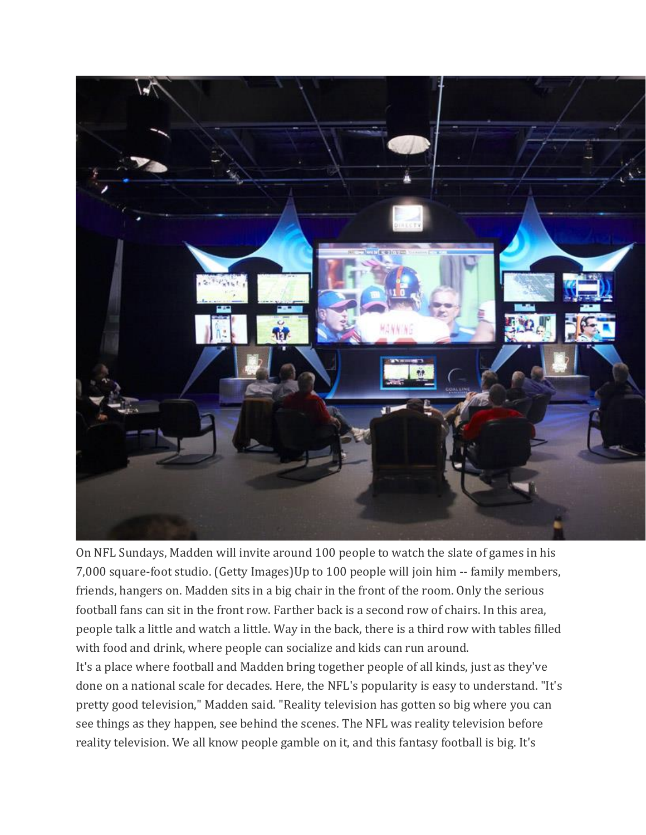

On NFL Sundays, Madden will invite around 100 people to watch the slate of games in his 7,000 square-foot studio. (Getty Images)Up to 100 people will join him -- family members, friends, hangers on. Madden sits in a big chair in the front of the room. Only the serious football fans can sit in the front row. Farther back is a second row of chairs. In this area, people talk a little and watch a little. Way in the back, there is a third row with tables filled with food and drink, where people can socialize and kids can run around.

It's a place where football and Madden bring together people of all kinds, just as they've done on a national scale for decades. Here, the NFL's popularity is easy to understand. "It's pretty good television," Madden said. "Reality television has gotten so big where you can see things as they happen, see behind the scenes. The NFL was reality television before reality television. We all know people gamble on it, and this fantasy football is big. It's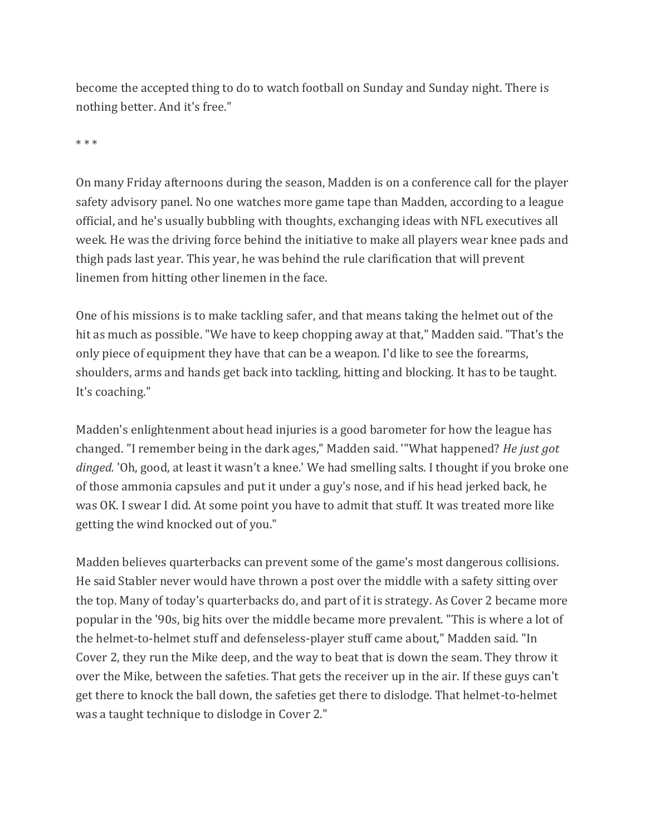become the accepted thing to do to watch football on Sunday and Sunday night. There is nothing better. And it's free."

\* \* \*

On many Friday afternoons during the season, Madden is on a conference call for the player safety advisory panel. No one watches more game tape than Madden, according to a league official, and he's usually bubbling with thoughts, exchanging ideas with NFL executives all week. He was the driving force behind the initiative to make all players wear knee pads and thigh pads last year. This year, he was behind the rule clarification that will prevent linemen from hitting other linemen in the face.

One of his missions is to make tackling safer, and that means taking the helmet out of the hit as much as possible. "We have to keep chopping away at that," Madden said. "That's the only piece of equipment they have that can be a weapon. I'd like to see the forearms, shoulders, arms and hands get back into tackling, hitting and blocking. It has to be taught. It's coaching."

Madden's enlightenment about head injuries is a good barometer for how the league has changed. "I remember being in the dark ages," Madden said. '"What happened? *He just got dinged.* 'Oh, good, at least it wasn't a knee.' We had smelling salts. I thought if you broke one of those ammonia capsules and put it under a guy's nose, and if his head jerked back, he was OK. I swear I did. At some point you have to admit that stuff. It was treated more like getting the wind knocked out of you."

Madden believes quarterbacks can prevent some of the game's most dangerous collisions. He said Stabler never would have thrown a post over the middle with a safety sitting over the top. Many of today's quarterbacks do, and part of it is strategy. As Cover 2 became more popular in the '90s, big hits over the middle became more prevalent. "This is where a lot of the helmet-to-helmet stuff and defenseless-player stuff came about," Madden said. "In Cover 2, they run the Mike deep, and the way to beat that is down the seam. They throw it over the Mike, between the safeties. That gets the receiver up in the air. If these guys can't get there to knock the ball down, the safeties get there to dislodge. That helmet-to-helmet was a taught technique to dislodge in Cover 2."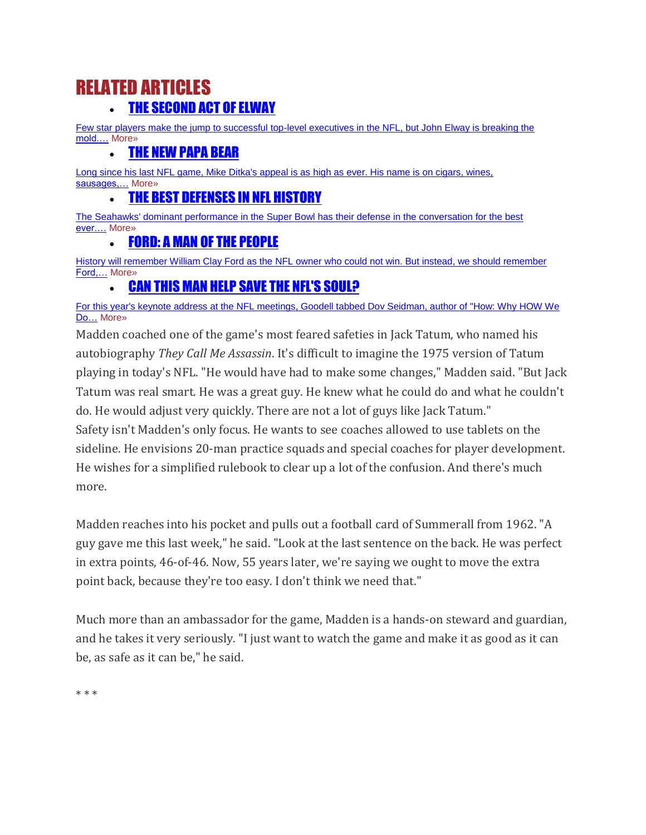## RELATED ARTICLES [THE SECOND ACT OF ELWAY](http://www.sportsonearth.com/article/72414460/denver-broncos-john-elway-rare-front-office-success)

[Few star players make the jump to successful top-level executives in the NFL, but John Elway is breaking the](http://www.sportsonearth.com/article/72414460/denver-broncos-john-elway-rare-front-office-success)  [mold.…](http://www.sportsonearth.com/article/72414460/denver-broncos-john-elway-rare-front-office-success) More»

#### [THE NEW PAPA BEAR](http://www.sportsonearth.com/article/64392710/mike-ditka-chicago-bears-nfl)

Long since his last NFL game, Mike Ditka's appeal is as high as ever. His name is on cigars, wines, sausages,... More»

#### [THE BEST DEFENSES IN](http://www.sportsonearth.com/article/68778308/nfl-ranking-best-defenses-in-history-seattle-seahawks-chicago-bears) NFL HISTORY

[The Seahawks' dominant performance in the Super Bowl has their defense in the conversation for the best](http://www.sportsonearth.com/article/68778308/nfl-ranking-best-defenses-in-history-seattle-seahawks-chicago-bears)  [ever.…](http://www.sportsonearth.com/article/68778308/nfl-ranking-best-defenses-in-history-seattle-seahawks-chicago-bears) More»

#### [FORD: A MAN OF THE PEOPLE](http://www.sportsonearth.com/article/69032780/detroit-lions-owner-william-clay-ford-obituary)

History will remember William Clay Ford as the NFL owner who could not win. But instead, we should remember [Ford,…](http://www.sportsonearth.com/article/69032780/detroit-lions-owner-william-clay-ford-obituary) More»

### [CAN THIS MAN HELP SAVE THE NFL'S SOUL?](http://www.sportsonearth.com/article/70031920/nfl-meetings-roger-goodell-keynote-speaker-dov-seidman)

[For this year's keynote address at the NFL meetings, Goodell tabbed Dov Seidman, author of "How: Why HOW We](http://www.sportsonearth.com/article/70031920/nfl-meetings-roger-goodell-keynote-speaker-dov-seidman)  Do… [More»](http://www.sportsonearth.com/article/70031920/nfl-meetings-roger-goodell-keynote-speaker-dov-seidman)

Madden coached one of the game's most feared safeties in Jack Tatum, who named his autobiography *They Call Me Assassin*. It's difficult to imagine the 1975 version of Tatum playing in today's NFL. "He would have had to make some changes," Madden said. "But Jack Tatum was real smart. He was a great guy. He knew what he could do and what he couldn't do. He would adjust very quickly. There are not a lot of guys like Jack Tatum." Safety isn't Madden's only focus. He wants to see coaches allowed to use tablets on the sideline. He envisions 20-man practice squads and special coaches for player development. He wishes for a simplified rulebook to clear up a lot of the confusion. And there's much more.

Madden reaches into his pocket and pulls out a football card of Summerall from 1962. "A guy gave me this last week," he said. "Look at the last sentence on the back. He was perfect in extra points, 46-of-46. Now, 55 years later, we're saying we ought to move the extra point back, because they're too easy. I don't think we need that."

Much more than an ambassador for the game, Madden is a hands-on steward and guardian, and he takes it very seriously. "I just want to watch the game and make it as good as it can be, as safe as it can be," he said.

\* \* \*